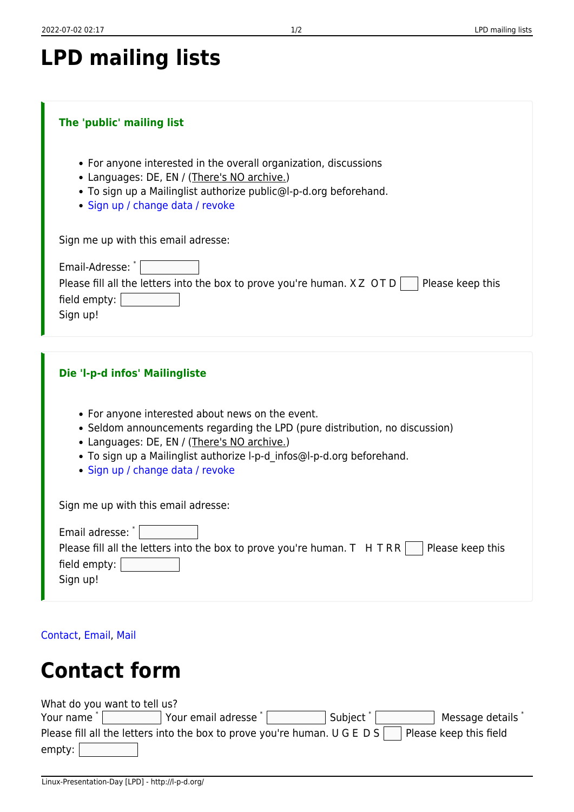| <b>LPD mailing lists</b> |  |  |  |
|--------------------------|--|--|--|
|--------------------------|--|--|--|

## **The 'public' mailing list**

- For anyone interested in the overall organization, discussions
- Languages: DE, EN / (There's NO archive.)
- To sign up a Mailinglist authorize public@l-p-d.org beforehand.
- [Sign up / change data / revoke](https://lists.l-p-d.org/listinfo/public)

Sign me up with this email adresse:

| Email-Adresse:                                                                               |
|----------------------------------------------------------------------------------------------|
| Please fill all the letters into the box to prove you're human. $XZ$ OTD<br>Please keep this |
| field empty: $ $                                                                             |
| Sign up!                                                                                     |

| Die 'l-p-d infos' Mailingliste                                                                                                                                                                                                                                                               |
|----------------------------------------------------------------------------------------------------------------------------------------------------------------------------------------------------------------------------------------------------------------------------------------------|
| • For anyone interested about news on the event.<br>• Seldom announcements regarding the LPD (pure distribution, no discussion)<br>• Languages: DE, EN / (There's NO archive.)<br>• To sign up a Mailinglist authorize I-p-d infos@I-p-d.org beforehand.<br>• Sign up / change data / revoke |
| Sign me up with this email adresse:                                                                                                                                                                                                                                                          |
| Email adresse: *<br>Please fill all the letters into the box to prove you're human. T H TRR  <br>Please keep this<br>$\sim 100$<br>field empty:<br>Sign up!                                                                                                                                  |
|                                                                                                                                                                                                                                                                                              |

[Contact](http://l-p-d.org/tag/contact?do=showtag&tag=Contact), [Email,](http://l-p-d.org/tag/email?do=showtag&tag=Email) [Mail](http://l-p-d.org/tag/mail?do=showtag&tag=Mail)

## **Contact form**

| What do you want to tell us?                                                      |                    |                      |                        |
|-----------------------------------------------------------------------------------|--------------------|----------------------|------------------------|
| Your name <sup>*</sup>                                                            | Your email adresse | Subject <sup>*</sup> | Message details        |
| Please fill all the letters into the box to prove you're human. U G E D S $\vert$ |                    |                      | Please keep this field |
| empty:                                                                            |                    |                      |                        |
|                                                                                   |                    |                      |                        |